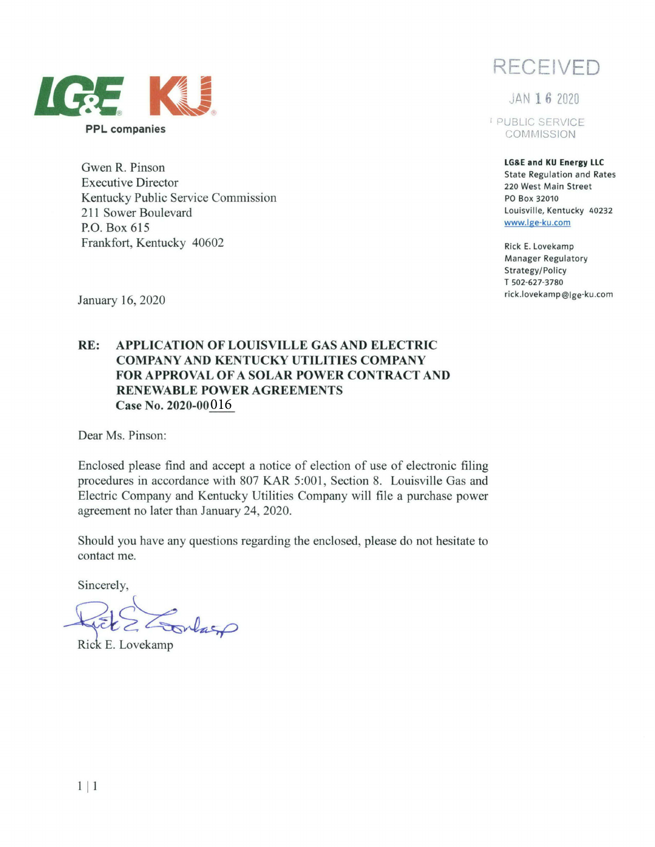

Gwen R. Pinson Executive Director Kentucky Public Service Commission 211 Sower Boulevard P.O. Box 615 Frankfort, Kentucky 40602

**RECEIVED** 

JAN **16** <sup>2020</sup>

1 PUBLIC SERVICE **COMMISSION** 

> **LG&E and KU Energy LLC**  State Regulation and Rates 220 West Main Street PO Box 32010 Louisville, Kentucky 40232 www.lge-ku.com

Rick E. Lovekamp Manager Regulatory Strategy/Policy T 502-627-3780 rick.lovekamp@Ige-ku.com

January 16, 2020

## **RE: APPLICATION OF LOUISVILLE GAS AND ELECTRIC COMPANY AND KENTUCKY UTILITIES COMPANY FOR APPROVAL OF A SOLAR POWER CONTRACT AND RENEWABLE POWER AGREEMENTS Case No. 2020-00**  016

Dear Ms. Pinson:

Enclosed please find and accept a notice of election of use of electronic filing procedures in accordance with 807 KAR 5:001, Section 8. Louisville Gas and Electric Company and Kentucky Utilities Company will file a purchase power agreement no later than January 24, 2020.

Should you have any questions regarding the enclosed, please do not hesitate to contact me.

Sincerely,

Rick E Conlage